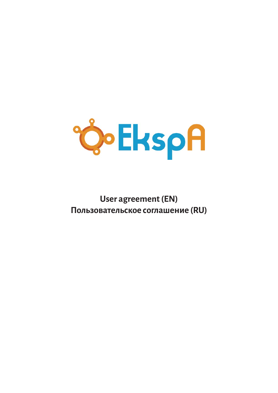

# **[User agreement \(EN\)](#page-1-0) [Пользовательское](#page-10-0) соглашение (RU)**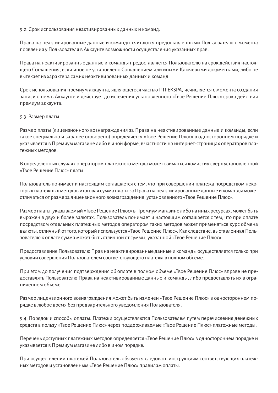9.2. Срок использования неактивированных данных и команд.

Права на неактивированные данные и команды считаются предоставленными Пользователю с момента появления уПользователя в Аккаунте возможности осуществления указанных прав.

Права на неактивированные данные и команды предоставляется Пользователю на срок действия настоящего Соглашения, если иное не установлено Соглашением или иными Ключевыми документами, либо не вытекает из характера самих неактивированных данных и команд.

Срок использования премиум аккаунта, являющегося частью ПП EKSPA, исчисляется с момента создания записи о нем в Аккаунте и действует до истечения установленного «GCEY» срока действия премиум аккаунта.

9.3. Размер платы.

Размер платы (лицензионного вознаграждения за Права на неактивированные данные и команды, если такое специально и заранее оговорено) определяется «СС $\mathbb{R}^N$ » в одностороннем порядке и указывается в Премиум магазине либо в иной форме, в частности на интернет-страницах операторов пла-тежных методов.

В определенных случаях оператором платежного метода может взиматься комиссия сверх установленной «С**ÇȚ**» платы.

Пользователь понимает и настоящим соглашается с тем, что при совершении платежа посредством некоторых платежных методов итоговая сумма платы за Права на неактивированные данные и команды может отличаться от размера лицензионного вознаграждения, установленного «С $\mathbb{G}\hspace{-1.4mm}\to$ ».

Размер платы, указываемый «ССЕ» в Премиум магазине либо на иных ресурсах, может быть выражен в двух и более валютах. Пользователь понимает и настоящим соглашается с тем, что при оплате посредством отдельных платежных методов оператором таких методов может применяться курс обмена валюты, отличный от того, который используется «ССЕ». Как следствие, выставленная Пользователю к оплате сумма может быть отличной от суммы, указанной «G**C);**».

ПредоставлениеПользователюПрав на неактивированные данные и команды осуществляется только при условии совершения Пользователем соответствующего платежа в полном объеме.

При этом до получения подтверждения об оплате в полном объеме « В праве не предоставлять Пользователю Права на неактивированные данные и команды, либо предоставлять их в ограниченном объеме.

Размер лицензионного вознаграждения может быть изменен «Экспа Софтвар» в одностороннем по-рядке в любое время без предварительного уведомленияПользователя.

```
9.4. Порядок и способы оплаты. Платежи осуществляются Пользователем путем перечисления денежных
средств в пользу «СС
                  5'˜••}"» через поддерживаемые «GŒ"'}-
5'˜••}"» платежные методы.
```
Перечень доступных платежных методов определяется «СС в одностороннем порядке и указывается в Премиум магазине либо в ином порядке.

При осуществлении платежей Пользователь обязуется следовать инструкциям соответствующих платежных методов и установленным «С**Œ**» правилам оплаты.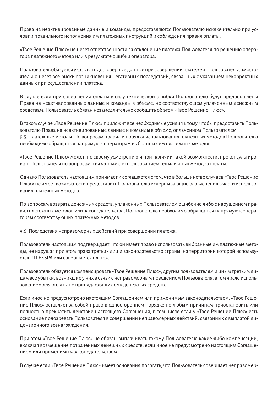Права на неактивированные данные и команды, предоставляются Пользователю исключительно при условии правильного исполнения им платежных инструкций и соблюдения правил оплаты.

«Экспа Софтвар» не несет ответственности за отклонение платежа Пользователя по решению опера-тора платежного метода или в результате ошибки оператора.

Пользователь обязуется указывать достоверные данные присовершенииплатежей. Пользователь самостоятельно несет все риски возникновения негативных последствий, связанных с указанием некорректных данных при осуществлении платежа.

В случае если при совершении оплаты в силу технической ошибки Пользователю будут предоставлены Права на неактивированные данные и команды в объеме, не соответствующем уплаченным денежным средствам, Пользователь обязан незамедлительно сообщить об этом «Экспа Софтвар».

В таком случае «Экспа Софтвар» приложит все необходимые усилия к тому, чтобы предоставить ПользователюПрава на неактивированные данные и команды в объеме, оплаченномПользователем. 9.5. Платежные методы. По вопросам правил и порядка использования платежных методов Пользователю необходимо обращаться напрямуюк операторам выбранных им платежных методов.

«Экспа Софтвар» может, по своему усмотрениюи при наличии такой возможности, проконсультиро-вать Пользователя по вопросам, связанным с использованием тех или иных методов оплаты.

Однако Пользователь настоящим понимает и соглашается с тем, что в большинстве случаев «Экспа Софтвар» не имеет возможности предоставить Пользователю исчерпывающие разъяснения в части использо-вания платежных методов.

По вопросам возврата денежных средств, уплаченных Пользователем ошибочно либо с нарушением правил платежных методов или законодательства, Пользователю необходимо обращаться напрямую к операторам соответствующих платежных методов.

9.6. Последствия неправомерных действий при совершении платежа.

Пользователь настоящим подтверждает, что он имеет право использовать выбранные им платежные методы, не нарушая при этом права третьих лиц и законодательство страны, на территории которой используетсяПП EKSPA или совершается платеж.

Пользователь обязуется компенсировать «Экспа Софтвар», другим пользователям и иным третьим ли-цам все убытки, возникшие у них в связи с неправомерным поведением Пользователя, в том числе использованием для оплаты не принадлежащих ему денежных средств.

Если иное не предусмотрено настоящим Соглашением или применимым законодательством, «Твое Решение Плюс» оставляет за собой право в одностороннем порядке по любым причинам приостановить или полностью прекратить действие настоящего Соглашения, в том числе если у «Экспа Софтвар» есть основание подозревать Пользователя в совершении неправомерных действий, связанных с выплатой ли-цензионного вознаграждения.

При этом «Экспа Софтвар» не обязан выплачивать такому Пользователю какие-либо компенсации, включая возмещение потраченных денежных средств, если иное не предусмотрено настоящим Соглашением или применимым законодательством.

В случае если «Экспа Софтвар» имеет основания полагать, что Пользователь совершает неправомер-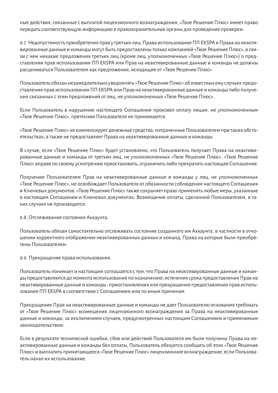ные действия, связанные с выплатой лицензионного вознаграждения, «Экспа Софтвар» имеет право передать соответствующую информацию в правоохранительные органы для проведения проверки.

9.7. Недопустимость приобретения прав у третьих лиц. Права использования ПП EKSPA и Права на неакти-вированные данные и команды могут быть предоставлены только компанией «Экспа Софтвар», в свя-зи с чем никакие предложения третьих лиц (кроме лиц, уполномоченных «Экспа Софтвар») о представлении прав использования ПП ЕКЅРА или Прав на неактивированные данные и команды не должны расцениваться Пользователем как предложения, исходящие от «Экспа Софтвар».

Пользователь обязан незамедлительно уведомлять «Экспа Софтвар» об известных ему случаях предоставления прав использования ПП EKSPA или Прав на неактивированные данные и команды либо получе-ния связанных с этим предложений от лиц, не уполномоченных «Экспа Софтвар».

Если Пользователь в нарушение настоящего Соглашения произвел оплату лицам, не уполномоченным «Экспа Софтвар», претензии Пользователя не принимаются.

«Экспа Софтвар» не компенсирует денежные средства, потраченные Пользователем при таких обстоятельствах, а также не предоставляет Права на неактивированные данные и команды.

В случае, если «Экспа Софтвар» будет установлено, что Пользователь получает Права на неактивированные данные и команды от третьих лиц, не уполномоченных «Экспа Софтвар», «Экспа Софтвар» вправе по своему усмотрению приостановить, ограничить либо прекратить настоящее Соглашение.

Получение Пользователем Прав на неактивированные данные и команды у лиц, не уполномоченных «Экспа Софтвар», не освобождает Пользователя от обязанности соблюдения настоящего Соглашения и Ключевых документов. «Экспа Софтвар» также сохраняет право применять любые меры, указанные в настоящем Соглашении и Ключевых документах. Возмещение оплаты, сделанной Пользователем, в таких случаях не производится.

9.8. Отслеживание состояния Аккаунта.

Пользователь обязан самостоятельно отслеживать состояние созданного им Аккаунта, в частности в отношении корректного отображения неактивированных данных и команд. Права на которые были приобретены Пользователем.

9.9. Прекращение права использования.

Пользователь понимает и настоящим соглашается с тем, что Права на неактивированные данные и команды предоставляются до момента использования по назначению; истечения срока предоставления Прав на неактивированные данные и команды; приостановления или прекращения предоставления прав исполь-зования ПП EKSPA в соответствии с Соглашением или по иным причинам.

Прекращение Прав на неактивированные данные и команды не дает Пользователю основания требовать от «Экспа Софтвар» возмещения лицензионного вознаграждения за Права на неактивированные данные и команды, за исключением случаев, предусмотренных настоящим Соглашением и применимым законодательством.

Если в результате технической ошибки, сбоя или действий Пользователя им были получены Права на неактивированные данные и команды без оплаты, Пользователь обязуется сообщить об этом «Экспа Софтвар» и выплатить причитающееся «Экспа Софтвар» лицензионное вознаграждение, если Пользователь начал их использование.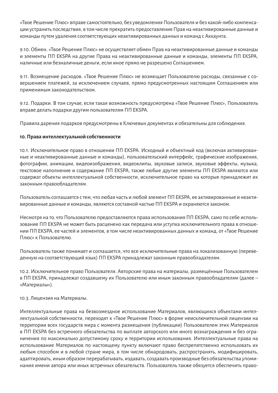«Экспа Софтвар» вправе самостоятельно, без уведомления Пользователя и без какой-либо компенса-ции устранить последствия, в том числе прекратить предоставление Прав на неактивированные данные и команды путемудаления соответствующих неактивированных данных и команд с Аккаунта.

9.10. Обмен. «Экспа Софтвар» не осуществляет обмен Прав на неактивированные данные и команды и элементы ПП EKSPA на другие Права на неактивированные данные и команды, элементы ПП EKSPA, наличные или безналичные деньги, если иное прямо не разрешено Соглашением.

9.11. Возмещение расходов. «Экспа Софтвар» не возмещает Пользователю расходы, связанные с совершением платежей, за исключением случаев, прямо предусмотренных настоящим Соглашением или применимым законодательством.

9.12. Подарки. В том случае, если такая возможность предусмотрена «Экспа Софтвар», Пользователь вправе делать подарки другим пользователямПП EKSPA.

Правила дарения подарков предусмотрены в Ключевых документах и обязательны для соблюдения.

## **10. Права интеллектуальной собственности**

10.1. Исключительное право в отношении ПП EKSPA. Исходный и объектный код (включая активированные и неактивированные данные и команды), пользовательский интерфейс, графические изображения, фотографии, анимации, видеоизображения, видеоклипы, звуковые записи, звуковые эффекты, музыка, текстовое наполнение и содержание ПП EKSPA, также любые другие элементы ПП EKSPA являются или содержат объекты интеллектуальной собственности, исключительное право на которые принадлежит их законным правообладателям.

Пользователь соглашается с тем, что любая часть и любой элементПП EKSPA, ее активированные и неактивированные данные и команды, являются составной частью ПП EKSPA и охраняются законом.

Несмотря на то, что Пользователюпредоставляются права использования ПП EKSPA, само по себе использование ПП EKSPA не может быть расценено как передача или уступка исключительного права в отношении ПП EKSPA, ее частей и элементов, в том числе неактивированных данных и команд, от «Экспа Софтвар» кПользователю.

Пользователь также понимает и соглашается, что все исключительные права на локализованную (переведенную на соответствующий язык) ПП EKSPA принадлежат законным правообладателям.

10.2. Исключительное право Пользователя. Авторские права на материалы, размещённые Пользователем в ПП EKSPA, принадлежат создавшему их Пользователю или иным законным правообладателям (далее – «Материалы»).

## 10.3. Лицензия на Материалы.

Интеллектуальные права на безвозмездное использование Материалов, являющихся объектами интеллектуальной собственности, переходят к «Экспа Софтвар» в форме неисключительной лицензии на территории всех государств мира с момента размещения (публикации) Пользователем этих Материалов в ПП EKSPA без встречного обязательства по выплате авторского или иного вознаграждения и без огра-ничения по максимально допустимому сроку и территории использования. Интеллектуальные права на использование Материалов по настоящему пункту включают право беспрепятственно использовать их любым способом и в любой стране мира, в том числе обнародовать, распространять, модифицировать, адаптировать, иным образом перерабатывать, издавать, создавать производные без обязательства упоми-нания имени автора или иных встречных обязательств. Пользователь также обязуется обеспечить право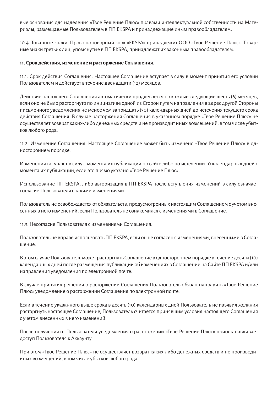вые основания для наделения «Экспа Софтвар» правами интеллектуальной собственности на Материалы, размещаемые Пользователем в ПП EKSPA и принадлежащие иным правообладателям.

10.4. Товарные знаки. Право на товарный знак «EKSPA» принадлежитООО «Экспа Софтвар». Товар-ные знаки третьих лиц, упомянутые вПП EKSPA, принадлежат их законным правообладателям.

## **11. Срок действия, изменение и расторжение Соглашения.**

11.1. Срок действия Соглашения. Настоящее Соглашение вступает в силу в момент принятия его условий Пользователем и действует в течение двенадцати (12) месяцев.

Действие настоящего Соглашения автоматически продлевается на каждые следующие шесть (6) месяцев, если оно не было расторгнуто по инициативе одной из Сторон путем направления в адрес другой Стороны письменного уведомления не менее чем за тридцать (30) календарных дней до истечения текущего срока действия Соглашения. В случае расторжения Соглашения в указанном порядке «Экспа Софтвар» не осуществляет возврат каких-либо денежных средств и не производит иных возмещений, в том числе убыт-ков любого рода.

11.2. Изменение Соглашения. Настоящее Соглашение может быть изменено «Экспа Софтвар» в одностороннем порядке.

Изменения вступают в силу с момента их публикации на сайте либо по истечении 10 календарных дней с момента их публикации, если это прямо указано «Экспа Софтвар».

Использование ПП EKSPA, либо авторизация в ПП EKSPA после вступления изменений в силу означает согласие Пользователя с такими изменениями.

Пользователь не освобождается от обязательств, предусмотренных настоящимСоглашениемс учетомвнесенных в него изменений, еслиПользователь не ознакомился с изменениями в Соглашение.

11.3. Несогласие Пользователя с изменениями Соглашения.

Пользователь не вправе использовать ПП EKSPA, если он не согласен с изменениями, внесенными в Соглашение.

ВэтомслучаеПользовательможет расторгнутьСоглашение в одностороннемпорядке в течение десяти (10) календарных дней после размещения публикации об изменениях в Соглашении на Сайте ПП EKSPA и/или направления уведомления по электронной почте.

В случае принятия решения о расторжении СоглашенияПользователь обязан направить «Экспа Софтвар» уведомление о расторжении Соглашения по электронной почте.

Если в течение указанного выше срока в десять (10) календарных дней Пользователь не изъявил желания расторгнуть настоящее Соглашение, Пользователь считается принявшим условия настоящего Соглашения с учетом внесенных в него изменений.

После получения отПользователя уведомления о расторжении «Экспа Софтвар» приостанавливает доступ Пользователя к Аккаунту.

При этом «Экспа Софтвар» не осуществляет возврат каких-либо денежных средств и не производит иных возмещений, в том числе убытков любого рода.